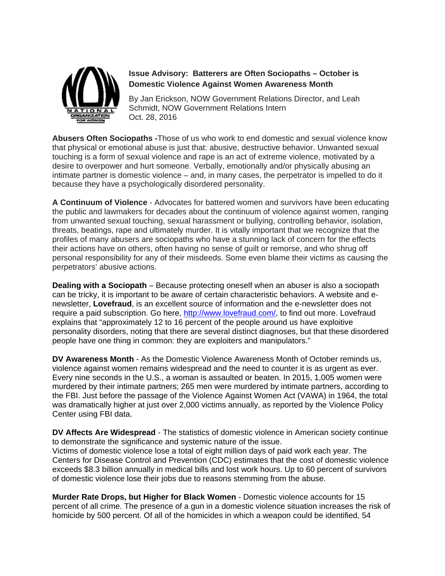

## **Issue Advisory: Batterers are Often Sociopaths – October is Domestic Violence Against Women Awareness Month**

By Jan Erickson, NOW Government Relations Director, and Leah Schmidt, NOW Government Relations Intern Oct. 28, 2016

**Abusers Often Sociopaths -**Those of us who work to end domestic and sexual violence know that physical or emotional abuse is just that: abusive, destructive behavior. Unwanted sexual touching is a form of sexual violence and rape is an act of extreme violence, motivated by a desire to overpower and hurt someone. Verbally, emotionally and/or physically abusing an intimate partner is domestic violence – and, in many cases, the perpetrator is impelled to do it because they have a psychologically disordered personality.

**A Continuum of Violence** - Advocates for battered women and survivors have been educating the public and lawmakers for decades about the continuum of violence against women, ranging from unwanted sexual touching, sexual harassment or bullying, controlling behavior, isolation, threats, beatings, rape and ultimately murder. It is vitally important that we recognize that the profiles of many abusers are sociopaths who have a stunning lack of concern for the effects their actions have on others, often having no sense of guilt or remorse, and who shrug off personal responsibility for any of their misdeeds. Some even blame their victims as causing the perpetrators' abusive actions.

**Dealing with a Sociopath** – Because protecting oneself when an abuser is also a sociopath can be tricky, it is important to be aware of certain characteristic behaviors. A website and enewsletter, **Lovefraud**, is an excellent source of information and the e-newsletter does not require a paid subscription. Go here, [http://www.lovefraud.com/,](http://www.lovefraud.com/) to find out more. Lovefraud explains that "approximately 12 to 16 percent of the people around us have exploitive personality disorders, noting that there are several distinct diagnoses, but that these disordered people have one thing in common: they are exploiters and manipulators."

**DV Awareness Month** - As the Domestic Violence Awareness Month of October reminds us, violence against women remains widespread and the need to counter it is as urgent as ever. Every nine seconds in the U.S., a woman is assaulted or beaten. In 2015, 1,005 women were murdered by their intimate partners; 265 men were murdered by intimate partners, according to the FBI. Just before the passage of the Violence Against Women Act (VAWA) in 1964, the total was dramatically higher at just over 2,000 victims annually, as reported by the Violence Policy Center using FBI data.

**DV Affects Are Widespread** - The statistics of domestic violence in American society continue to demonstrate the significance and systemic nature of the issue.

Victims of domestic violence lose a total of eight million days of paid work each year. The Centers for Disease Control and Prevention (CDC) estimates that the cost of domestic violence exceeds \$8.3 billion annually in medical bills and lost work hours. Up to 60 percent of survivors of domestic violence lose their jobs due to reasons stemming from the abuse.

**Murder Rate Drops, but Higher for Black Women** - Domestic violence accounts for 15 percent of all crime. The presence of a gun in a domestic violence situation increases the risk of homicide by 500 percent. Of all of the homicides in which a weapon could be identified, 54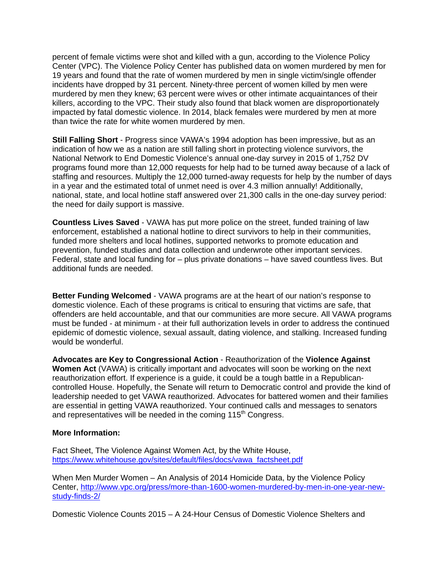percent of female victims were shot and killed with a gun, according to the Violence Policy Center (VPC). The Violence Policy Center has published data on women murdered by men for 19 years and found that the rate of women murdered by men in single victim/single offender incidents have dropped by 31 percent. Ninety-three percent of women killed by men were murdered by men they knew; 63 percent were wives or other intimate acquaintances of their killers, according to the VPC. Their study also found that black women are disproportionately impacted by fatal domestic violence. In 2014, black females were murdered by men at more than twice the rate for white women murdered by men.

**Still Falling Short** - Progress since VAWA's 1994 adoption has been impressive, but as an indication of how we as a nation are still falling short in protecting violence survivors, the National Network to End Domestic Violence's annual one-day survey in 2015 of 1,752 DV programs found more than 12,000 requests for help had to be turned away because of a lack of staffing and resources. Multiply the 12,000 turned-away requests for help by the number of days in a year and the estimated total of unmet need is over 4.3 million annually! Additionally, national, state, and local hotline staff answered over 21,300 calls in the one-day survey period: the need for daily support is massive.

**Countless Lives Saved** - VAWA has put more police on the street, funded training of law enforcement, established a national hotline to direct survivors to help in their communities, funded more shelters and local hotlines, supported networks to promote education and prevention, funded studies and data collection and underwrote other important services. Federal, state and local funding for – plus private donations – have saved countless lives. But additional funds are needed.

**Better Funding Welcomed** - VAWA programs are at the heart of our nation's response to domestic violence. Each of these programs is critical to ensuring that victims are safe, that offenders are held accountable, and that our communities are more secure. All VAWA programs must be funded - at minimum - at their full authorization levels in order to address the continued epidemic of domestic violence, sexual assault, dating violence, and stalking. Increased funding would be wonderful.

**Advocates are Key to Congressional Action** - Reauthorization of the **Violence Against Women Act** (VAWA) is critically important and advocates will soon be working on the next reauthorization effort. If experience is a guide, it could be a tough battle in a Republicancontrolled House. Hopefully, the Senate will return to Democratic control and provide the kind of leadership needed to get VAWA reauthorized. Advocates for battered women and their families are essential in getting VAWA reauthorized. Your continued calls and messages to senators and representatives will be needed in the coming 115<sup>th</sup> Congress.

## **More Information:**

Fact Sheet, The Violence Against Women Act, by the White House, [https://www.whitehouse.gov/sites/default/files/docs/vawa\\_factsheet.pdf](https://www.whitehouse.gov/sites/default/files/docs/vawa_factsheet.pdf)

When Men Murder Women – An Analysis of 2014 Homicide Data, by the Violence Policy Center, [http://www.vpc.org/press/more-than-1600-women-murdered-by-men-in-one-year-new](http://www.vpc.org/press/more-than-1600-women-murdered-by-men-in-one-year-new-study-finds-2/)[study-finds-2/](http://www.vpc.org/press/more-than-1600-women-murdered-by-men-in-one-year-new-study-finds-2/)

Domestic Violence Counts 2015 – A 24-Hour Census of Domestic Violence Shelters and